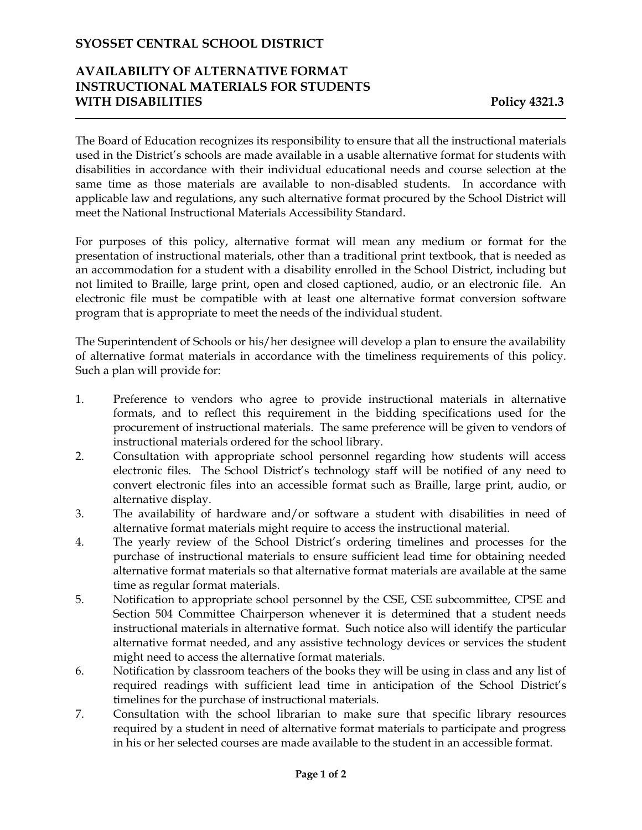### **SYOSSET CENTRAL SCHOOL DISTRICT**

# **AVAILABILITY OF ALTERNATIVE FORMAT INSTRUCTIONAL MATERIALS FOR STUDENTS WITH DISABILITIES Policy 4321.3**

The Board of Education recognizes its responsibility to ensure that all the instructional materials used in the District's schools are made available in a usable alternative format for students with disabilities in accordance with their individual educational needs and course selection at the same time as those materials are available to non-disabled students. In accordance with applicable law and regulations, any such alternative format procured by the School District will meet the National Instructional Materials Accessibility Standard.

For purposes of this policy, alternative format will mean any medium or format for the presentation of instructional materials, other than a traditional print textbook, that is needed as an accommodation for a student with a disability enrolled in the School District, including but not limited to Braille, large print, open and closed captioned, audio, or an electronic file. An electronic file must be compatible with at least one alternative format conversion software program that is appropriate to meet the needs of the individual student.

The Superintendent of Schools or his/her designee will develop a plan to ensure the availability of alternative format materials in accordance with the timeliness requirements of this policy. Such a plan will provide for:

- 1. Preference to vendors who agree to provide instructional materials in alternative formats, and to reflect this requirement in the bidding specifications used for the procurement of instructional materials. The same preference will be given to vendors of instructional materials ordered for the school library.
- 2. Consultation with appropriate school personnel regarding how students will access electronic files. The School District's technology staff will be notified of any need to convert electronic files into an accessible format such as Braille, large print, audio, or alternative display.
- 3. The availability of hardware and/or software a student with disabilities in need of alternative format materials might require to access the instructional material.
- 4. The yearly review of the School District's ordering timelines and processes for the purchase of instructional materials to ensure sufficient lead time for obtaining needed alternative format materials so that alternative format materials are available at the same time as regular format materials.
- 5. Notification to appropriate school personnel by the CSE, CSE subcommittee, CPSE and Section 504 Committee Chairperson whenever it is determined that a student needs instructional materials in alternative format. Such notice also will identify the particular alternative format needed, and any assistive technology devices or services the student might need to access the alternative format materials.
- 6. Notification by classroom teachers of the books they will be using in class and any list of required readings with sufficient lead time in anticipation of the School District's timelines for the purchase of instructional materials.
- 7. Consultation with the school librarian to make sure that specific library resources required by a student in need of alternative format materials to participate and progress in his or her selected courses are made available to the student in an accessible format.